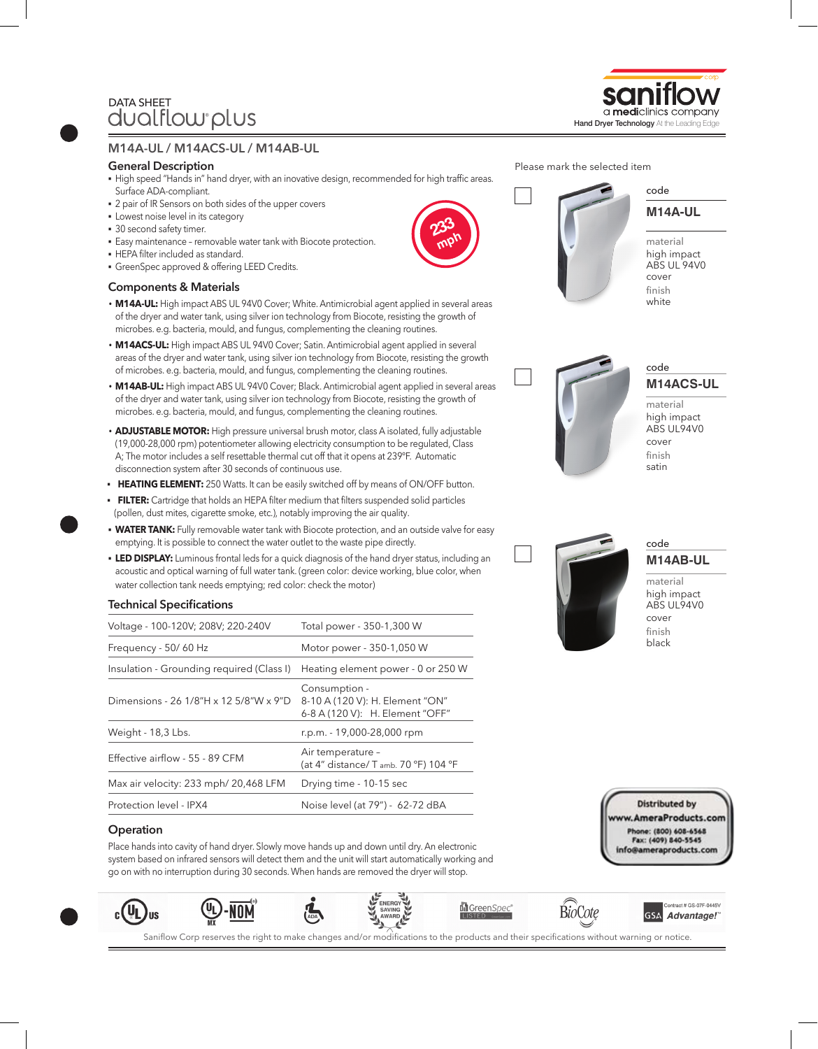# DATA SHEET<br>Ali in Floiti®

a **medi**clinics company Hand Dryer Technology At the Leading Edge

### **M14A-UL / M14ACS-UL / M14AB-UL**

#### **General Description**

- High speed "Hands in" hand dryer, with an inovative design, recommended for high traffic areas. Surface ADA-compliant.
- § 2 pair of IR Sensors on both sides of the upper covers
- § Lowest noise level in its category
- 30 second safety timer.
- **Easy maintenance removable water tank with Biocote protection.**
- **HEPA filter included as standard.**
- § GreenSpec approved & offering LEED Credits.

#### **Components & Materials**

- **M14A-UL:** High impact ABS UL 94V0 Cover; White. Antimicrobial agent applied in several areas of the dryer and water tank, using silver ion technology from Biocote, resisting the growth of microbes. e.g. bacteria, mould, and fungus, complementing the cleaning routines.
- **M14ACS-UL:** High impact ABS UL 94V0 Cover; Satin. Antimicrobial agent applied in several areas of the dryer and water tank, using silver ion technology from Biocote, resisting the growth of microbes. e.g. bacteria, mould, and fungus, complementing the cleaning routines.
- **M14AB-UL:** High impact ABS UL 94V0 Cover; Black. Antimicrobial agent applied in several areas of the dryer and water tank, using silver ion technology from Biocote, resisting the growth of microbes. e.g. bacteria, mould, and fungus, complementing the cleaning routines.
- **ADJUSTABLE MOTOR:** High pressure universal brush motor, class A isolated, fully adjustable (19,000-28,000 rpm) potentiometer allowing electricity consumption to be regulated, Class A; The motor includes a self resettable thermal cut off that it opens at 239ºF. Automatic disconnection system after 30 seconds of continuous use.
- **HEATING ELEMENT:** 250 Watts. It can be easily switched off by means of ON/OFF button.
- **FILTER:** Cartridge that holds an HEPA filter medium that filters suspended solid particles (pollen, dust mites, cigarette smoke, etc.), notably improving the air quality.
- **WATER TANK:** Fully removable water tank with Biocote protection, and an outside valve for easy emptying. It is possible to connect the water outlet to the waste pipe directly.
- **LED DISPLAY:** Luminous frontal leds for a quick diagnosis of the hand dryer status, including an acoustic and optical warning of full water tank. (green color: device working, blue color, when water collection tank needs emptying; red color: check the motor)

#### **Technical Specifications**

| Voltage - 100-120V; 208V; 220-240V        | Total power - 350-1,300 W                                                           |  |
|-------------------------------------------|-------------------------------------------------------------------------------------|--|
| Frequency - 50/60 Hz                      | Motor power - 350-1,050 W                                                           |  |
| Insulation - Grounding required (Class I) | Heating element power - 0 or 250 W                                                  |  |
| Dimensions - 26 1/8"H x 12 5/8"W x 9"D    | Consumption -<br>8-10 A (120 V): H. Element "ON"<br>6-8 A (120 V): H. Element "OFF" |  |
| Weight - 18,3 Lbs.                        | r.p.m. - 19,000-28,000 rpm                                                          |  |
| Effective airflow - 55 - 89 CFM           | Air temperature -<br>(at 4" distance/ T amb. 70 °F) 104 °F                          |  |
| Max air velocity: 233 mph/ 20,468 LFM     | Drying time - 10-15 sec                                                             |  |
| Protection level - IPX4                   | Noise level (at 79") - 62-72 dBA                                                    |  |

#### **Operation**

**US** 

Place hands into cavity of hand dryer. Slowly move hands up and down until dry. An electronic system based on infrared sensors will detect them and the unit will start automatically working and go on with no interruption during 30 seconds. When hands are removed the dryer will stop.













Advantage!"

Saniflow Corp reserves the right to make changes and/or modifications to the products and their specifications without warning or notice.





# **M14A-UL** code



Please mark the selected item

material high impact ABS UL 94V0 cover finish white



# **M14ACS-UL** code

material high impact ABS UL94V0 cover finish satin



# **M14AB-UL** code

high impact ABS UL94V0 cover finish black

**Distributed by** w.AmeraProducts.com Phone: (800) 608-6568 Fax: (409) 840-5545 info@ameraproducts.com